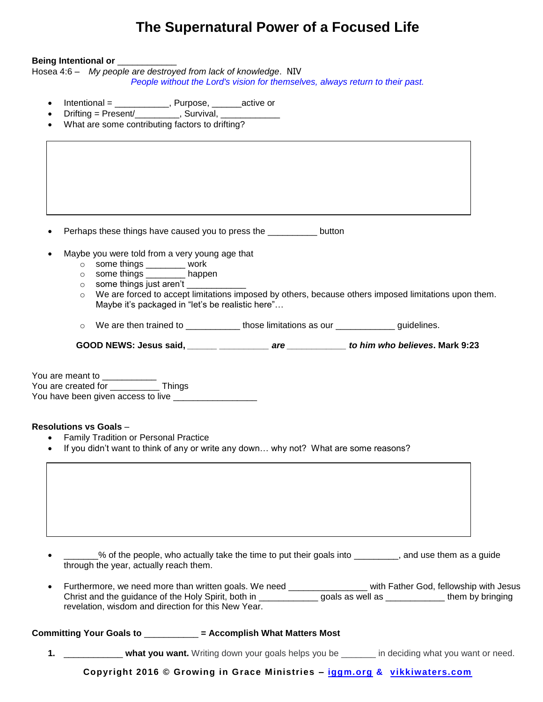## **The Supernatural Power of a Focused Life**

## **Being Intentional or** \_\_\_\_\_\_\_\_\_\_\_\_

Hosea 4:6 – *My people are destroyed from lack of knowledge*. NIV *People without the Lord's vision for themselves, always return to their past.*

- Intentional = \_\_\_\_\_\_\_\_\_\_\_, Purpose, \_\_\_\_\_\_active or
- Drifting = Present/ , Survival, \_\_\_\_\_\_
- What are some contributing factors to drifting?

Perhaps these things have caused you to press the second button

- Maybe you were told from a very young age that
	- o some things \_\_\_\_\_\_\_\_ work
	- o some things \_\_\_\_\_\_\_\_ happen
	- $\circ$  some things just aren't  $\frac{1}{\sqrt{1-\frac{1}{2}}}\left\vert \frac{1}{\sqrt{1-\frac{1}{2}}}\right\vert$
	- o We are forced to accept limitations imposed by others, because others imposed limitations upon them. Maybe it's packaged in "let's be realistic here"…

 $\circ$  We are then trained to  $\frac{1}{\sqrt{1-\frac{1}{n}}}$  those limitations as our  $\frac{1}{\sqrt{1-\frac{1}{n}}}$  guidelines.

**GOOD NEWS: Jesus said,** *\_\_\_\_\_\_ \_\_\_\_\_\_\_\_\_\_ are \_\_\_\_\_\_\_\_\_\_\_\_ to him who believes***. Mark 9:23**

You are meant to You are created for Things You have been given access to live \_\_\_\_\_\_\_\_\_\_\_\_\_\_\_\_\_

## **Resolutions vs Goals** –

- Family Tradition or Personal Practice
- If you didn't want to think of any or write any down… why not? What are some reasons?

 \_\_\_\_\_\_\_% of the people, who actually take the time to put their goals into \_\_\_\_\_\_\_\_\_, and use them as a guide through the year, actually reach them. Furthermore, we need more than written goals. We need \_\_\_\_\_\_\_\_\_\_\_\_\_\_\_\_\_ with Father God, fellowship with Jesus Christ and the guidance of the Holy Spirit, both in \_\_\_\_\_\_\_\_\_\_\_\_\_\_\_ goals as well as \_\_\_\_\_\_\_\_\_\_\_\_\_\_ them by bringing revelation, wisdom and direction for this New Year.

**Committing Your Goals to** \_\_\_\_\_\_\_\_\_\_\_ **= Accomplish What Matters Most**

**1.** \_\_\_\_\_\_\_\_\_\_\_\_ **what you want.** Writing down your goals helps you be \_\_\_\_\_\_\_ in deciding what you want or need.

**Copyright 2016 © Growing in Grace Ministries – iggm.org & vikkiwaters.com**